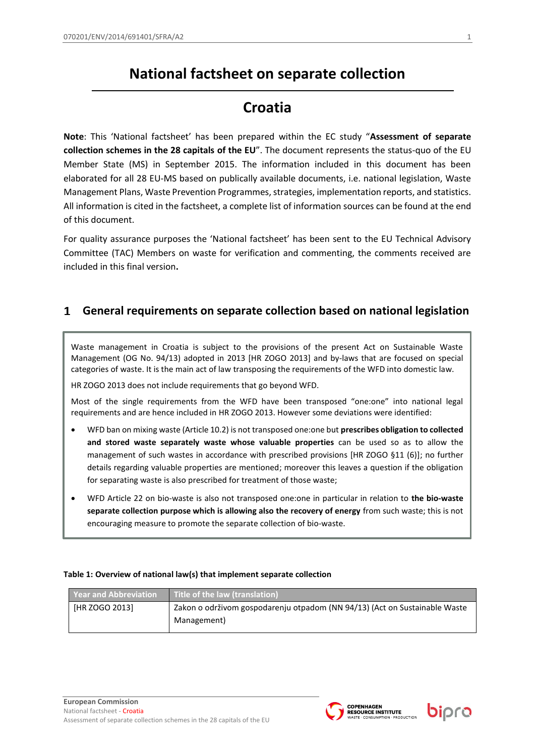# **National factsheet on separate collection**

## **Croatia**

**Note**: This 'National factsheet' has been prepared within the EC study "**Assessment of separate collection schemes in the 28 capitals of the EU**". The document represents the status-quo of the EU Member State (MS) in September 2015. The information included in this document has been elaborated for all 28 EU-MS based on publically available documents, i.e. national legislation, Waste Management Plans, Waste Prevention Programmes, strategies, implementation reports, and statistics. All information is cited in the factsheet, a complete list of information sources can be found at the end of this document.

For quality assurance purposes the 'National factsheet' has been sent to the EU Technical Advisory Committee (TAC) Members on waste for verification and commenting, the comments received are included in this final version**.**

### **General requirements on separate collection based on national legislation**  $\mathbf 1$

Waste management in Croatia is subject to the provisions of the present Act on Sustainable Waste Management (OG No. 94/13) adopted in 2013 [HR ZOGO 2013] and by-laws that are focused on special categories of waste. It is the main act of law transposing the requirements of the WFD into domestic law.

HR ZOGO 2013 does not include requirements that go beyond WFD.

Most of the single requirements from the WFD have been transposed "one:one" into national legal requirements and are hence included in HR ZOGO 2013. However some deviations were identified:

- WFD ban on mixing waste (Article 10.2) is not transposed one:one but **prescribes obligation to collected and stored waste separately waste whose valuable properties** can be used so as to allow the management of such wastes in accordance with prescribed provisions [HR ZOGO §11 (6)]; no further details regarding valuable properties are mentioned; moreover this leaves a question if the obligation for separating waste is also prescribed for treatment of those waste;
- WFD Article 22 on bio-waste is also not transposed one:one in particular in relation to **the bio-waste separate collection purpose which is allowing also the recovery of energy** from such waste; this is not encouraging measure to promote the separate collection of bio-waste.

## **Table 1: Overview of national law(s) that implement separate collection**

| <b>Year and Abbreviation</b> | Title of the law (translation)                                             |
|------------------------------|----------------------------------------------------------------------------|
| [HR ZOGO 2013]               | Zakon o održivom gospodarenju otpadom (NN 94/13) (Act on Sustainable Waste |
|                              | Management)                                                                |



bipro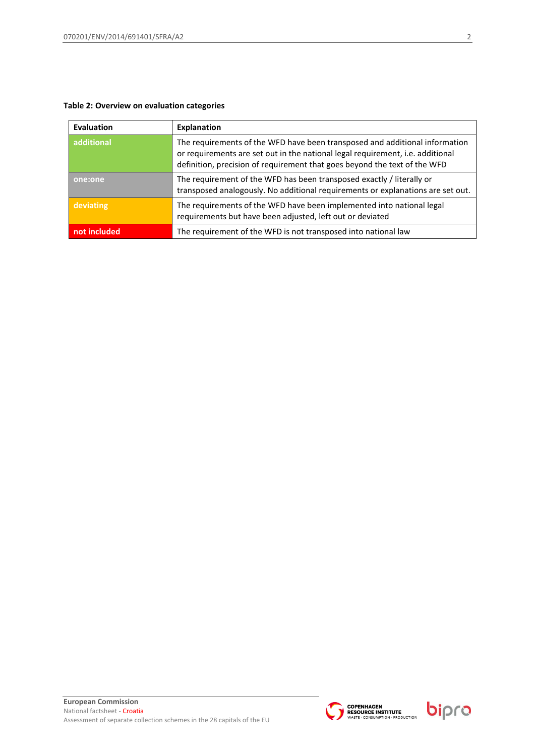## **Table 2: Overview on evaluation categories**

| <b>Evaluation</b> | Explanation                                                                                                                                                                                                                                |
|-------------------|--------------------------------------------------------------------------------------------------------------------------------------------------------------------------------------------------------------------------------------------|
| additional        | The requirements of the WFD have been transposed and additional information<br>or requirements are set out in the national legal requirement, i.e. additional<br>definition, precision of requirement that goes beyond the text of the WFD |
| one:one           | The requirement of the WFD has been transposed exactly / literally or<br>transposed analogously. No additional requirements or explanations are set out.                                                                                   |
| deviating         | The requirements of the WFD have been implemented into national legal<br>requirements but have been adjusted, left out or deviated                                                                                                         |
| not included      | The requirement of the WFD is not transposed into national law                                                                                                                                                                             |



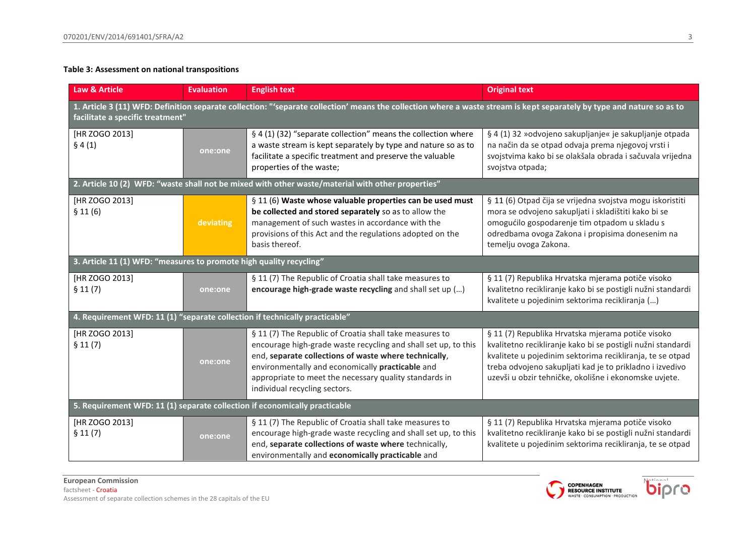## **Table 3: Assessment on national transpositions**

| <b>Law &amp; Article</b>                                                                                                                                                                                   | <b>Evaluation</b> | <b>English text</b>                                                                                                                                                                                                                                                                                                               | <b>Original text</b>                                                                                                                                                                                                                                                                               |
|------------------------------------------------------------------------------------------------------------------------------------------------------------------------------------------------------------|-------------------|-----------------------------------------------------------------------------------------------------------------------------------------------------------------------------------------------------------------------------------------------------------------------------------------------------------------------------------|----------------------------------------------------------------------------------------------------------------------------------------------------------------------------------------------------------------------------------------------------------------------------------------------------|
| 1. Article 3 (11) WFD: Definition separate collection: "'separate collection' means the collection where a waste stream is kept separately by type and nature so as to<br>facilitate a specific treatment" |                   |                                                                                                                                                                                                                                                                                                                                   |                                                                                                                                                                                                                                                                                                    |
| [HR ZOGO 2013]<br>§ 4(1)                                                                                                                                                                                   | one:one           | § 4 (1) (32) "separate collection" means the collection where<br>a waste stream is kept separately by type and nature so as to<br>facilitate a specific treatment and preserve the valuable<br>properties of the waste;                                                                                                           | § 4 (1) 32 »odvojeno sakupljanje« je sakupljanje otpada<br>na način da se otpad odvaja prema njegovoj vrsti i<br>svojstvima kako bi se olakšala obrada i sačuvala vrijedna<br>svojstva otpada;                                                                                                     |
|                                                                                                                                                                                                            |                   | 2. Article 10 (2) WFD: "waste shall not be mixed with other waste/material with other properties"                                                                                                                                                                                                                                 |                                                                                                                                                                                                                                                                                                    |
| [HR ZOGO 2013]<br>\$11(6)                                                                                                                                                                                  | deviating         | § 11 (6) Waste whose valuable properties can be used must<br>be collected and stored separately so as to allow the<br>management of such wastes in accordance with the<br>provisions of this Act and the regulations adopted on the<br>basis thereof.                                                                             | § 11 (6) Otpad čija se vrijedna svojstva mogu iskoristiti<br>mora se odvojeno sakupljati i skladištiti kako bi se<br>omogućilo gospodarenje tim otpadom u skladu s<br>odredbama ovoga Zakona i propisima donesenim na<br>temelju ovoga Zakona.                                                     |
| 3. Article 11 (1) WFD: "measures to promote high quality recycling"                                                                                                                                        |                   |                                                                                                                                                                                                                                                                                                                                   |                                                                                                                                                                                                                                                                                                    |
| [HR ZOGO 2013]<br>\$11(7)                                                                                                                                                                                  | one:one           | § 11 (7) The Republic of Croatia shall take measures to<br>encourage high-grade waste recycling and shall set up ()                                                                                                                                                                                                               | § 11 (7) Republika Hrvatska mjerama potiče visoko<br>kvalitetno recikliranje kako bi se postigli nužni standardi<br>kvalitete u pojedinim sektorima recikliranja ()                                                                                                                                |
| 4. Requirement WFD: 11 (1) "separate collection if technically practicable"                                                                                                                                |                   |                                                                                                                                                                                                                                                                                                                                   |                                                                                                                                                                                                                                                                                                    |
| [HR ZOGO 2013]<br>\$11(7)                                                                                                                                                                                  | one:one           | § 11 (7) The Republic of Croatia shall take measures to<br>encourage high-grade waste recycling and shall set up, to this<br>end, separate collections of waste where technically,<br>environmentally and economically practicable and<br>appropriate to meet the necessary quality standards in<br>individual recycling sectors. | § 11 (7) Republika Hrvatska mjerama potiče visoko<br>kvalitetno recikliranje kako bi se postigli nužni standardi<br>kvalitete u pojedinim sektorima recikliranja, te se otpad<br>treba odvojeno sakupljati kad je to prikladno i izvedivo<br>uzevši u obzir tehničke, okolišne i ekonomske uvjete. |
| 5. Requirement WFD: 11 (1) separate collection if economically practicable                                                                                                                                 |                   |                                                                                                                                                                                                                                                                                                                                   |                                                                                                                                                                                                                                                                                                    |
| [HR ZOGO 2013]<br>§ 11(7)                                                                                                                                                                                  | one:one           | § 11 (7) The Republic of Croatia shall take measures to<br>encourage high-grade waste recycling and shall set up, to this<br>end, separate collections of waste where technically,<br>environmentally and economically practicable and                                                                                            | § 11 (7) Republika Hrvatska mjerama potiče visoko<br>kvalitetno recikliranje kako bi se postigli nužni standardi<br>kvalitete u pojedinim sektorima recikliranja, te se otpad                                                                                                                      |



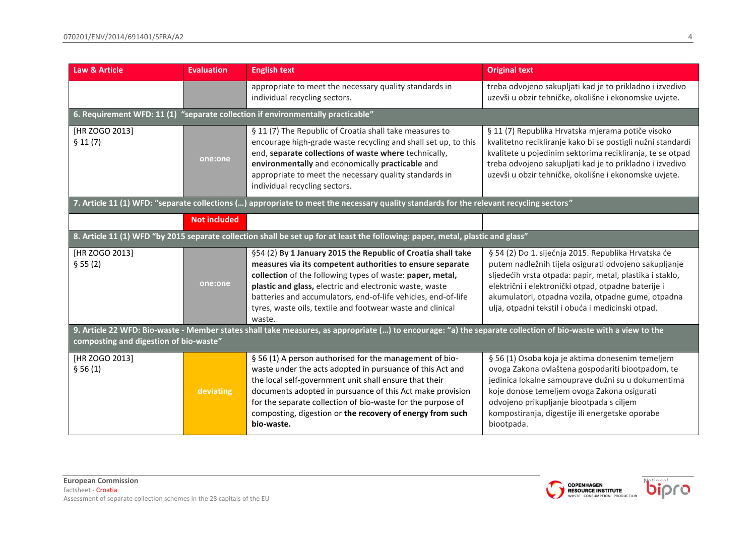| <b>Law &amp; Article</b>                                                                                                                                                                                | <b>Evaluation</b>   | <b>English text</b>                                                                                                                                                                                                                                                                                                                                                                        | <b>Original text</b>                                                                                                                                                                                                                                                                                                                       |
|---------------------------------------------------------------------------------------------------------------------------------------------------------------------------------------------------------|---------------------|--------------------------------------------------------------------------------------------------------------------------------------------------------------------------------------------------------------------------------------------------------------------------------------------------------------------------------------------------------------------------------------------|--------------------------------------------------------------------------------------------------------------------------------------------------------------------------------------------------------------------------------------------------------------------------------------------------------------------------------------------|
|                                                                                                                                                                                                         |                     | appropriate to meet the necessary quality standards in<br>individual recycling sectors.                                                                                                                                                                                                                                                                                                    | treba odvojeno sakupljati kad je to prikladno i izvedivo<br>uzevši u obzir tehničke, okolišne i ekonomske uvjete.                                                                                                                                                                                                                          |
|                                                                                                                                                                                                         |                     | 6. Requirement WFD: 11 (1) "separate collection if environmentally practicable"                                                                                                                                                                                                                                                                                                            |                                                                                                                                                                                                                                                                                                                                            |
| [HR ZOGO 2013]<br>§ 11(7)                                                                                                                                                                               | one:one             | § 11 (7) The Republic of Croatia shall take measures to<br>encourage high-grade waste recycling and shall set up, to this<br>end, separate collections of waste where technically,<br>environmentally and economically practicable and<br>appropriate to meet the necessary quality standards in<br>individual recycling sectors.                                                          | § 11 (7) Republika Hrvatska mjerama potiče visoko<br>kvalitetno recikliranje kako bi se postigli nužni standardi<br>kvalitete u pojedinim sektorima recikliranja, te se otpad<br>treba odvojeno sakupljati kad je to prikladno i izvedivo<br>uzevši u obzir tehničke, okolišne i ekonomske uvjete.                                         |
| 7. Article 11 (1) WFD: "separate collections () appropriate to meet the necessary quality standards for the relevant recycling sectors"                                                                 |                     |                                                                                                                                                                                                                                                                                                                                                                                            |                                                                                                                                                                                                                                                                                                                                            |
|                                                                                                                                                                                                         | <b>Not included</b> |                                                                                                                                                                                                                                                                                                                                                                                            |                                                                                                                                                                                                                                                                                                                                            |
|                                                                                                                                                                                                         |                     | 8. Article 11 (1) WFD "by 2015 separate collection shall be set up for at least the following: paper, metal, plastic and glass"                                                                                                                                                                                                                                                            |                                                                                                                                                                                                                                                                                                                                            |
| [HR ZOGO 2013]<br>§ 55(2)                                                                                                                                                                               | one:one             | §54 (2) By 1 January 2015 the Republic of Croatia shall take<br>measures via its competent authorities to ensure separate<br>collection of the following types of waste: paper, metal,<br>plastic and glass, electric and electronic waste, waste<br>batteries and accumulators, end-of-life vehicles, end-of-life<br>tyres, waste oils, textile and footwear waste and clinical<br>waste. | § 54 (2) Do 1. siječnja 2015. Republika Hrvatska će<br>putem nadležnih tijela osigurati odvojeno sakupljanje<br>sljedećih vrsta otpada: papir, metal, plastika i staklo,<br>električni i elektronički otpad, otpadne baterije i<br>akumulatori, otpadna vozila, otpadne gume, otpadna<br>ulja, otpadni tekstil i obuća i medicinski otpad. |
| 9. Article 22 WFD: Bio-waste - Member states shall take measures, as appropriate () to encourage: "a) the separate collection of bio-waste with a view to the<br>composting and digestion of bio-waste" |                     |                                                                                                                                                                                                                                                                                                                                                                                            |                                                                                                                                                                                                                                                                                                                                            |
| [HR ZOGO 2013]<br>§ 56(1)                                                                                                                                                                               | deviating           | § 56 (1) A person authorised for the management of bio-<br>waste under the acts adopted in pursuance of this Act and<br>the local self-government unit shall ensure that their<br>documents adopted in pursuance of this Act make provision<br>for the separate collection of bio-waste for the purpose of<br>composting, digestion or the recovery of energy from such<br>bio-waste.      | § 56 (1) Osoba koja je aktima donesenim temeljem<br>ovoga Zakona ovlaštena gospodariti biootpadom, te<br>jedinica lokalne samouprave dužni su u dokumentima<br>koje donose temeljem ovoga Zakona osigurati<br>odvojeno prikupljanje biootpada s ciljem<br>kompostiranja, digestije ili energetske oporabe<br>biootpada.                    |

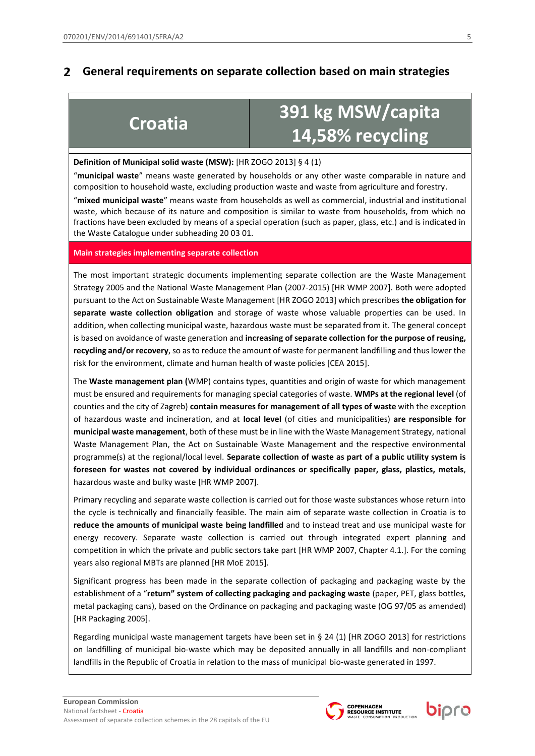### $\overline{2}$ **General requirements on separate collection based on main strategies**

# **Croatia <sup>391</sup> kg MSW/capita 14,58% recycling**

## **Definition of Municipal solid waste (MSW):** [HR ZOGO 2013] § 4 (1)

"**municipal waste**" means waste generated by households or any other waste comparable in nature and composition to household waste, excluding production waste and waste from agriculture and forestry. "**mixed municipal waste**" means waste from households as well as commercial, industrial and institutional waste, which because of its nature and composition is similar to waste from households, from which no fractions have been excluded by means of a special operation (such as paper, glass, etc.) and is indicated in the Waste Catalogue under subheading 20 03 01.

## **Main strategies implementing separate collection**

The most important strategic documents implementing separate collection are the Waste Management Strategy 2005 and the National Waste Management Plan (2007-2015) [HR WMP 2007]. Both were adopted pursuant to the Act on Sustainable Waste Management [HR ZOGO 2013] which prescribes **the obligation for separate waste collection obligation** and storage of waste whose valuable properties can be used. In addition, when collecting municipal waste, hazardous waste must be separated from it. The general concept is based on avoidance of waste generation and **increasing of separate collection for the purpose of reusing, recycling and/or recovery**, so as to reduce the amount of waste for permanent landfilling and thus lower the risk for the environment, climate and human health of waste policies [CEA 2015].

The **Waste management plan (**WMP) contains types, quantities and origin of waste for which management must be ensured and requirements for managing special categories of waste. **WMPs at the regional level** (of counties and the city of Zagreb) **contain measures for management of all types of waste** with the exception of hazardous waste and incineration, and at **local level** (of cities and municipalities) **are responsible for municipal waste management**, both of these must be in line with the Waste Management Strategy, national Waste Management Plan, the Act on Sustainable Waste Management and the respective environmental programme(s) at the regional/local level. **Separate collection of waste as part of a public utility system is foreseen for wastes not covered by individual ordinances or specifically paper, glass, plastics, metals**, hazardous waste and bulky waste [HR WMP 2007].

Primary recycling and separate waste collection is carried out for those waste substances whose return into the cycle is technically and financially feasible. The main aim of separate waste collection in Croatia is to **reduce the amounts of municipal waste being landfilled** and to instead treat and use municipal waste for energy recovery. Separate waste collection is carried out through integrated expert planning and competition in which the private and public sectors take part [HR WMP 2007, Chapter 4.1.]. For the coming years also regional MBTs are planned [HR MoE 2015].

Significant progress has been made in the separate collection of packaging and packaging waste by the establishment of a "**return" system of collecting packaging and packaging waste** (paper, PET, glass bottles, metal packaging cans), based on the Ordinance on packaging and packaging waste (OG 97/05 as amended) [HR Packaging 2005].

Regarding municipal waste management targets have been set in § 24 (1) [HR ZOGO 2013] for restrictions on landfilling of municipal bio-waste which may be deposited annually in all landfills and non-compliant landfills in the Republic of Croatia in relation to the mass of municipal bio-waste generated in 1997.



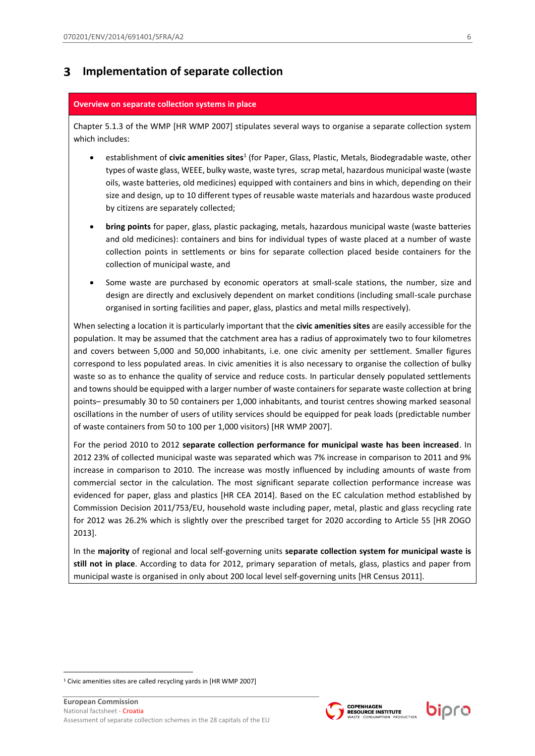### $\overline{\mathbf{3}}$ **Implementation of separate collection**

## **Overview on separate collection systems in place**

Chapter 5.1.3 of the WMP [HR WMP 2007] stipulates several ways to organise a separate collection system which includes:

- **•** establishment of *civic amenities sites<sup>1</sup>* (for Paper, Glass, Plastic, Metals, Biodegradable waste, other types of waste glass, WEEE, bulky waste, waste tyres, scrap metal, hazardous municipal waste (waste oils, waste batteries, old medicines) equipped with containers and bins in which, depending on their size and design, up to 10 different types of reusable waste materials and hazardous waste produced by citizens are separately collected;
- **bring points** for paper, glass, plastic packaging, metals, hazardous municipal waste (waste batteries and old medicines): containers and bins for individual types of waste placed at a number of waste collection points in settlements or bins for separate collection placed beside containers for the collection of municipal waste, and
- Some waste are purchased by economic operators at small-scale stations, the number, size and design are directly and exclusively dependent on market conditions (including small-scale purchase organised in sorting facilities and paper, glass, plastics and metal mills respectively).

When selecting a location it is particularly important that the **civic amenities sites** are easily accessible for the population. It may be assumed that the catchment area has a radius of approximately two to four kilometres and covers between 5,000 and 50,000 inhabitants, i.e. one civic amenity per settlement. Smaller figures correspond to less populated areas. In civic amenities it is also necessary to organise the collection of bulky waste so as to enhance the quality of service and reduce costs. In particular densely populated settlements and towns should be equipped with a larger number of waste containers for separate waste collection at bring points– presumably 30 to 50 containers per 1,000 inhabitants, and tourist centres showing marked seasonal oscillations in the number of users of utility services should be equipped for peak loads (predictable number of waste containers from 50 to 100 per 1,000 visitors) [HR WMP 2007].

For the period 2010 to 2012 **separate collection performance for municipal waste has been increased**. In 2012 23% of collected municipal waste was separated which was 7% increase in comparison to 2011 and 9% increase in comparison to 2010. The increase was mostly influenced by including amounts of waste from commercial sector in the calculation. The most significant separate collection performance increase was evidenced for paper, glass and plastics [HR CEA 2014]. Based on the EC calculation method established by Commission Decision 2011/753/EU, household waste including paper, metal, plastic and glass recycling rate for 2012 was 26.2% which is slightly over the prescribed target for 2020 according to Article 55 [HR ZOGO 2013].

In the **majority** of regional and local self-governing units **separate collection system for municipal waste is still not in place**. According to data for 2012, primary separation of metals, glass, plastics and paper from municipal waste is organised in only about 200 local level self-governing units [HR Census 2011].

1





<sup>&</sup>lt;sup>1</sup> Civic amenities sites are called recycling yards in [HR WMP 2007]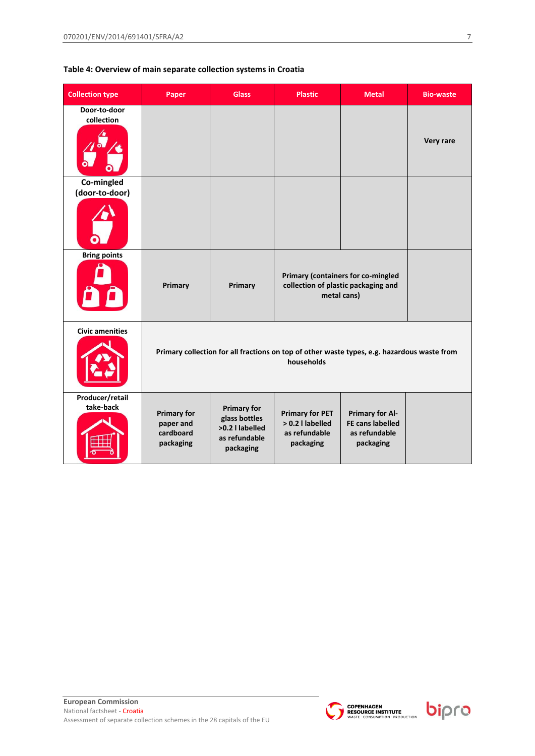## **Table 4: Overview of main separate collection systems in Croatia**

| <b>Collection type</b>       | Paper                                                                                                     | <b>Glass</b>                                                                         | <b>Plastic</b>                                                           | <b>Metal</b>                                                             | <b>Bio-waste</b> |
|------------------------------|-----------------------------------------------------------------------------------------------------------|--------------------------------------------------------------------------------------|--------------------------------------------------------------------------|--------------------------------------------------------------------------|------------------|
| Door-to-door<br>collection   |                                                                                                           |                                                                                      |                                                                          |                                                                          | Very rare        |
| Co-mingled<br>(door-to-door) |                                                                                                           |                                                                                      |                                                                          |                                                                          |                  |
|                              |                                                                                                           |                                                                                      |                                                                          |                                                                          |                  |
| <b>Bring points</b>          | Primary                                                                                                   | Primary                                                                              | collection of plastic packaging and<br>metal cans)                       | Primary (containers for co-mingled                                       |                  |
| <b>Civic amenities</b>       | Primary collection for all fractions on top of other waste types, e.g. hazardous waste from<br>households |                                                                                      |                                                                          |                                                                          |                  |
| Producer/retail<br>take-back | <b>Primary for</b><br>paper and<br>cardboard<br>packaging                                                 | <b>Primary for</b><br>glass bottles<br>>0.2   labelled<br>as refundable<br>packaging | <b>Primary for PET</b><br>> 0.2   labelled<br>as refundable<br>packaging | <b>Primary for Al-</b><br>FE cans labelled<br>as refundable<br>packaging |                  |